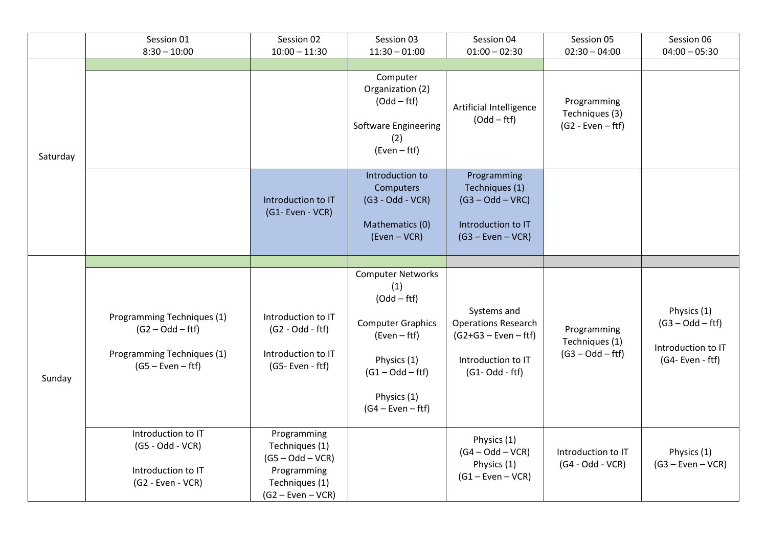|          | Session 01                                                                                            | Session 02                                                                                                  | Session 03                                                                                                                                                                | Session 04                                                                                                      | Session 05                                           | Session 06                                                                  |
|----------|-------------------------------------------------------------------------------------------------------|-------------------------------------------------------------------------------------------------------------|---------------------------------------------------------------------------------------------------------------------------------------------------------------------------|-----------------------------------------------------------------------------------------------------------------|------------------------------------------------------|-----------------------------------------------------------------------------|
|          | $8:30 - 10:00$                                                                                        | $10:00 - 11:30$                                                                                             | $11:30 - 01:00$                                                                                                                                                           | $01:00 - 02:30$                                                                                                 | $02:30 - 04:00$                                      | $04:00 - 05:30$                                                             |
| Saturday |                                                                                                       |                                                                                                             |                                                                                                                                                                           |                                                                                                                 |                                                      |                                                                             |
|          |                                                                                                       |                                                                                                             | Computer<br>Organization (2)<br>$(Odd - fft)$<br><b>Software Engineering</b><br>(2)<br>$(Even - fft)$                                                                     | Artificial Intelligence<br>$(Odd - fft)$                                                                        | Programming<br>Techniques (3)<br>$(G2 - Even - fft)$ |                                                                             |
|          |                                                                                                       | Introduction to IT<br>(G1- Even - VCR)                                                                      | Introduction to<br>Computers<br>$(G3 - Odd - VCR)$<br>Mathematics (0)<br>(Even - VCR)                                                                                     | Programming<br>Techniques (1)<br>$(G3 - Odd - VRC)$<br>Introduction to IT<br>$(G3 - Even - VCR)$                |                                                      |                                                                             |
|          |                                                                                                       |                                                                                                             |                                                                                                                                                                           |                                                                                                                 |                                                      |                                                                             |
| Sunday   | Programming Techniques (1)<br>$(G2 - Odd - fft)$<br>Programming Techniques (1)<br>$(G5 - Even - fft)$ | Introduction to IT<br>$(G2 - Odd - fft)$<br>Introduction to IT<br>$(G5 - Even - fft)$                       | <b>Computer Networks</b><br>(1)<br>$(Odd - fft)$<br><b>Computer Graphics</b><br>$(Even - fft)$<br>Physics (1)<br>$(G1 - Odd - fft)$<br>Physics (1)<br>$(G4 - Even - fft)$ | Systems and<br><b>Operations Research</b><br>$(G2+G3 - Even - fft)$<br>Introduction to IT<br>$(G1 - Odd - fft)$ | Programming<br>Techniques (1)<br>$(G3 - Odd - fft)$  | Physics (1)<br>$(G3 - Odd - fft)$<br>Introduction to IT<br>(G4- Even - ftf) |
|          | Introduction to IT<br>$(G5 - Odd - VCR)$<br>Introduction to IT<br>$(G2 - Even - VCR)$                 | Programming<br>Techniques (1)<br>$(G5 - Odd - VCR)$<br>Programming<br>Techniques (1)<br>$(G2 - Even - VCR)$ |                                                                                                                                                                           | Physics (1)<br>$(G4 - Odd - VCR)$<br>Physics (1)<br>$(G1 - Even - VCR)$                                         | Introduction to IT<br>$(G4 - Odd - VCR)$             | Physics (1)<br>$(G3 - Even - VCR)$                                          |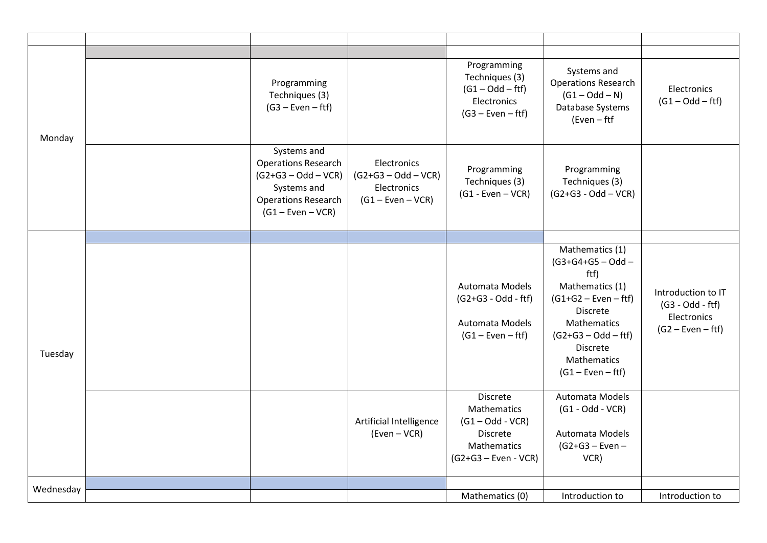| Monday    |                                                                                                                                        |                                                                            |                                                                                                           |                                                                                                                                                                                                                 |                                                                                |
|-----------|----------------------------------------------------------------------------------------------------------------------------------------|----------------------------------------------------------------------------|-----------------------------------------------------------------------------------------------------------|-----------------------------------------------------------------------------------------------------------------------------------------------------------------------------------------------------------------|--------------------------------------------------------------------------------|
|           | Programming<br>Techniques (3)<br>$(G3 - Even - fft)$                                                                                   |                                                                            | Programming<br>Techniques (3)<br>$(G1 - Odd - fft)$<br>Electronics<br>$(G3 - Even - fft)$                 | Systems and<br><b>Operations Research</b><br>$(G1 - Odd - N)$<br>Database Systems<br>(Even - ftf                                                                                                                | Electronics<br>$(G1 - Odd - fft)$                                              |
|           | Systems and<br><b>Operations Research</b><br>$(G2+G3 - Odd - VCR)$<br>Systems and<br><b>Operations Research</b><br>$(G1 - Even - VCR)$ | Electronics<br>$(G2+G3 - Odd - VCR)$<br>Electronics<br>$(G1 - Even - VCR)$ | Programming<br>Techniques (3)<br>$(G1 - Even - VCR)$                                                      | Programming<br>Techniques (3)<br>$(G2+G3 - Odd - VCR)$                                                                                                                                                          |                                                                                |
|           |                                                                                                                                        |                                                                            |                                                                                                           |                                                                                                                                                                                                                 |                                                                                |
| Tuesday   |                                                                                                                                        |                                                                            | Automata Models<br>$(G2+G3 - Odd - fft)$<br>Automata Models<br>$(G1 - Even - fft)$                        | Mathematics (1)<br>$(G3+G4+G5 - Odd -$<br>ftf)<br>Mathematics (1)<br>$(G1+G2 - Even - fft)$<br><b>Discrete</b><br>Mathematics<br>$(G2+G3 - Odd - fft)$<br><b>Discrete</b><br>Mathematics<br>$(G1 - Even - fft)$ | Introduction to IT<br>$(G3 - Odd - fft)$<br>Electronics<br>$(G2 - Even - fft)$ |
|           |                                                                                                                                        | Artificial Intelligence<br>(Even - VCR)                                    | <b>Discrete</b><br>Mathematics<br>$(G1 - Odd - VCR)$<br>Discrete<br>Mathematics<br>$(G2+G3 - Even - VCR)$ | Automata Models<br>$(G1 - Odd - VCR)$<br>Automata Models<br>$(G2+G3 - Even -$<br>VCR)                                                                                                                           |                                                                                |
| Wednesday |                                                                                                                                        |                                                                            | Mathematics (0)                                                                                           | Introduction to                                                                                                                                                                                                 | Introduction to                                                                |